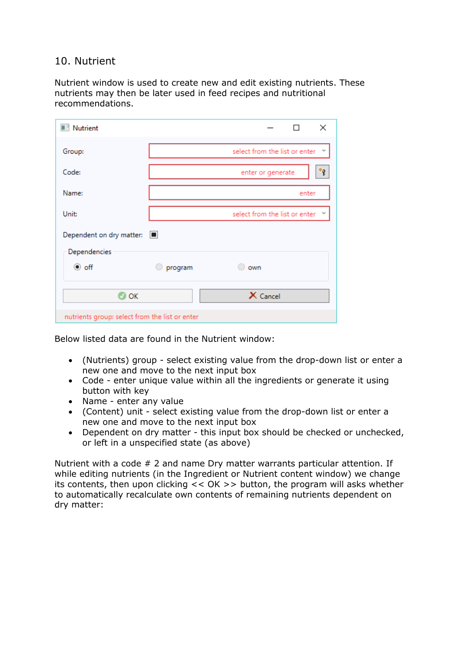## 10. Nutrient

Nutrient window is used to create new and edit existing nutrients. These nutrients may then be later used in feed recipes and nutritional recommendations.

| <b>Nutrient</b>                                |         | $\times$                                 |  |
|------------------------------------------------|---------|------------------------------------------|--|
| Group:                                         |         | select from the list or enter<br>v       |  |
| Code:                                          |         | $\ast_{\mathbf{P}}$<br>enter or generate |  |
| Name:                                          |         | enter                                    |  |
| Unit:                                          |         | select from the list or enter Y          |  |
| Dependent on dry matter:                       | $\Box$  |                                          |  |
| Dependencies                                   |         |                                          |  |
| $\odot$ off                                    | program | own<br>0                                 |  |
| $\bullet$ ok                                   |         | $\times$ Cancel                          |  |
| nutrients group: select from the list or enter |         |                                          |  |

Below listed data are found in the Nutrient window:

- (Nutrients) group select existing value from the drop-down list or enter a new one and move to the next input box
- Code enter unique value within all the ingredients or generate it using button with key
- Name enter any value
- (Content) unit select existing value from the drop-down list or enter a new one and move to the next input box
- Dependent on dry matter this input box should be checked or unchecked, or left in a unspecified state (as above)

Nutrient with a code # 2 and name Dry matter warrants particular attention. If while editing nutrients (in the Ingredient or Nutrient content window) we change its contents, then upon clicking << OK >> button, the program will asks whether to automatically recalculate own contents of remaining nutrients dependent on dry matter: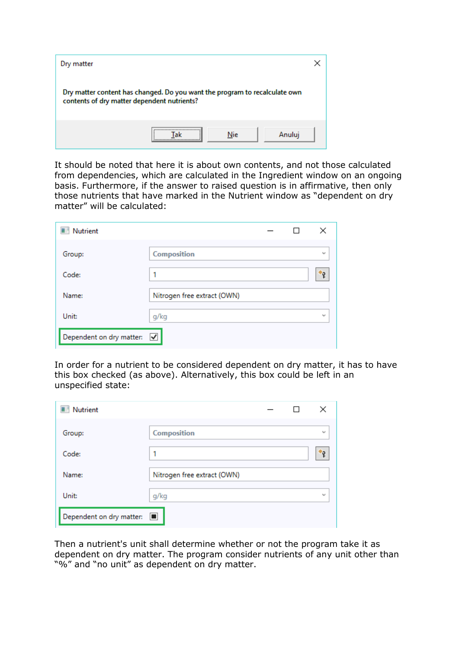| Dry matter                                                                                                                |         |        |
|---------------------------------------------------------------------------------------------------------------------------|---------|--------|
| Dry matter content has changed. Do you want the program to recalculate own<br>contents of dry matter dependent nutrients? |         |        |
|                                                                                                                           | <br>Nie | Anuluj |

It should be noted that here it is about own contents, and not those calculated from dependencies, which are calculated in the Ingredient window on an ongoing basis. Furthermore, if the answer to raised question is in affirmative, then only those nutrients that have marked in the Nutrient window as "dependent on dry matter" will be calculated:

| <b>Nutrient</b>          |                             |  | ×                |
|--------------------------|-----------------------------|--|------------------|
| Group:                   | Composition                 |  | $\sim$           |
| Code:                    | 1                           |  | $*_{\mathsf{P}}$ |
| Name:                    | Nitrogen free extract (OWN) |  |                  |
| Unit:                    | g/kg                        |  | $\mathbf{v}$     |
| Dependent on dry matter: | $\blacktriangledown$        |  |                  |

In order for a nutrient to be considered dependent on dry matter, it has to have this box checked (as above). Alternatively, this box could be left in an unspecified state:

| Nutrient                        |                             |  | ×      |
|---------------------------------|-----------------------------|--|--------|
| Group:                          | Composition                 |  | $\sim$ |
| Code:                           | 1                           |  | *о     |
| Name:                           | Nitrogen free extract (OWN) |  |        |
| Unit:                           | g/kg                        |  | $\sim$ |
| Dependent on dry matter: $\Box$ |                             |  |        |

Then a nutrient's unit shall determine whether or not the program take it as dependent on dry matter. The program consider nutrients of any unit other than "%" and "no unit" as dependent on dry matter.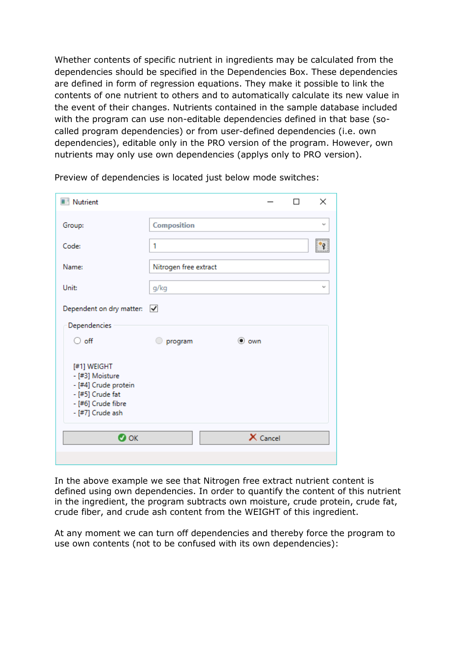Whether contents of specific nutrient in ingredients may be calculated from the dependencies should be specified in the Dependencies Box. These dependencies are defined in form of regression equations. They make it possible to link the contents of one nutrient to others and to automatically calculate its new value in the event of their changes. Nutrients contained in the sample database included with the program can use non-editable dependencies defined in that base (socalled program dependencies) or from user-defined dependencies (i.e. own dependencies), editable only in the PRO version of the program. However, own nutrients may only use own dependencies (applys only to PRO version).

| Nutrient                                                                                                                             |                       |               |          | $\times$ |
|--------------------------------------------------------------------------------------------------------------------------------------|-----------------------|---------------|----------|----------|
| Group:                                                                                                                               | Composition           |               |          | v        |
| Code:                                                                                                                                | 1                     |               |          |          |
| Name:                                                                                                                                | Nitrogen free extract |               |          |          |
| Unit:                                                                                                                                | g/kg                  |               |          | v        |
| Dependent on dry matter: $\sqrt{\phantom{a}}$                                                                                        |                       |               |          |          |
| Dependencies                                                                                                                         |                       |               |          |          |
| $\circ$ off                                                                                                                          | program               | $\bullet$ own |          |          |
| [#1] WEIGHT<br>- [#3] Moisture<br>- [#4] Crude protein<br>- [#5] Crude fat<br>- [#6] Crude fibre<br>- [#7] Crude ash<br>$\bullet$ ok |                       |               | X Cancel |          |
|                                                                                                                                      |                       |               |          |          |
|                                                                                                                                      |                       |               |          |          |

Preview of dependencies is located just below mode switches:

In the above example we see that Nitrogen free extract nutrient content is defined using own dependencies. In order to quantify the content of this nutrient in the ingredient, the program subtracts own moisture, crude protein, crude fat, crude fiber, and crude ash content from the WEIGHT of this ingredient.

At any moment we can turn off dependencies and thereby force the program to use own contents (not to be confused with its own dependencies):